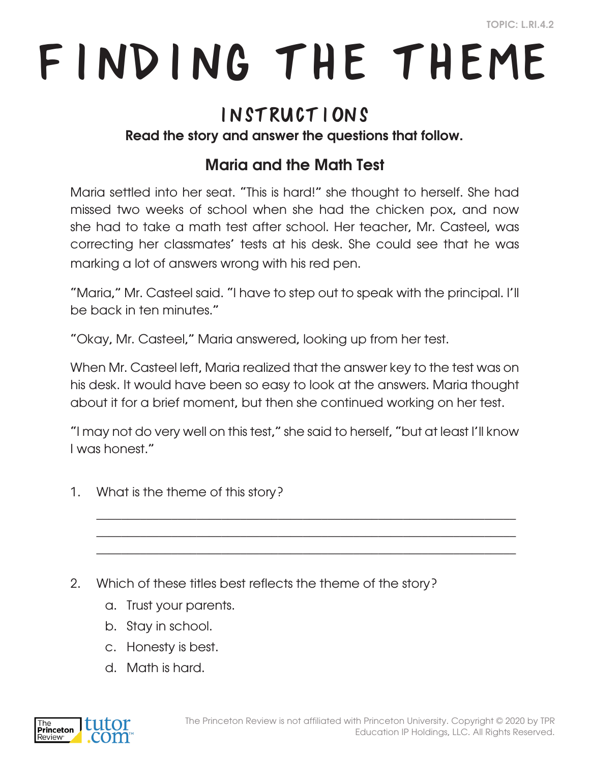# Finding the Theme

### Instructions

#### Read the story and answer the questions that follow.

#### Maria and the Math Test

Maria settled into her seat. "This is hard!" she thought to herself. She had missed two weeks of school when she had the chicken pox, and now she had to take a math test after school. Her teacher, Mr. Casteel, was correcting her classmates' tests at his desk. She could see that he was marking a lot of answers wrong with his red pen.

"Maria," Mr. Casteel said. "I have to step out to speak with the principal. I'll be back in ten minutes."

"Okay, Mr. Casteel," Maria answered, looking up from her test.

When Mr. Casteel left, Maria realized that the answer key to the test was on his desk. It would have been so easy to look at the answers. Maria thought about it for a brief moment, but then she continued working on her test.

"I may not do very well on this test," she said to herself, "but at least I'll know I was honest."

 $\_$  , and the set of the set of the set of the set of the set of the set of the set of the set of the set of the set of the set of the set of the set of the set of the set of the set of the set of the set of the set of th  $\_$  , and the set of the set of the set of the set of the set of the set of the set of the set of the set of the set of the set of the set of the set of the set of the set of the set of the set of the set of the set of th  $\_$  , and the set of the set of the set of the set of the set of the set of the set of the set of the set of the set of the set of the set of the set of the set of the set of the set of the set of the set of the set of th

- 1. What is the theme of this story?
- 2. Which of these titles best reflects the theme of the story?
	- a. Trust your parents.
	- b. Stay in school.
	- c. Honesty is best.
	- d. Math is hard.